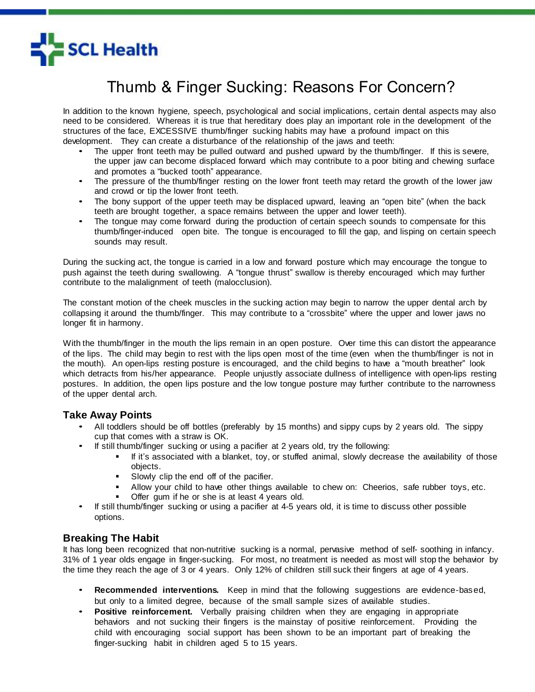

## Thumb & Finger Sucking: Reasons For Concern?

In addition to the known hygiene, speech, psychological and social implications, certain dental aspects may also need to be considered. Whereas it is true that hereditary does play an important role in the development of the structures of the face, EXCESSIVE thumb/finger sucking habits may have a profound impact on this development. They can create a disturbance of the relationship of the jaws and teeth:

- The upper front teeth may be pulled outward and pushed upward by the thumb/finger. If this is severe, the upper jaw can become displaced forward which may contribute to a poor biting and chewing surface and promotes a "bucked tooth" appearance.
- The pressure of the thumb/finger resting on the lower front teeth may retard the growth of the lower jaw and crowd or tip the lower front teeth.
- The bony support of the upper teeth may be displaced upward, leaving an "open bite" (when the back teeth are brought together, a space remains between the upper and lower teeth).
- The tongue may come forward during the production of certain speech sounds to compensate for this thumb/finger-induced open bite. The tongue is encouraged to fill the gap, and lisping on certain speech sounds may result.

During the sucking act, the tongue is carried in a low and forward posture which may encourage the tongue to push against the teeth during swallowing. A "tongue thrust" swallow is thereby encouraged which may further contribute to the malalignment of teeth (malocclusion).

The constant motion of the cheek muscles in the sucking action may begin to narrow the upper dental arch by collapsing it around the thumb/finger. This may contribute to a "crossbite" where the upper and lower jaws no longer fit in harmony.

With the thumb/finger in the mouth the lips remain in an open posture. Over time this can distort the appearance of the lips. The child may begin to rest with the lips open most of the time (even when the thumb/finger is not in the mouth). An open-lips resting posture is encouraged, and the child begins to have a "mouth breather" look which detracts from his/her appearance. People unjustly associate dullness of intelligence with open-lips resting postures. In addition, the open lips posture and the low tongue posture may further contribute to the narrowness of the upper dental arch.

## **Take Away Points**

- All toddlers should be off bottles (preferably by 15 months) and sippy cups by 2 years old. The sippy cup that comes with a straw is OK.
- If still thumb/finger sucking or using a pacifier at 2 years old, try the following:
	- If it's associated with a blanket, toy, or stuffed animal, slowly decrease the availability of those objects.
	- **Slowly clip the end off of the pacifier.**
	- Allow your child to have other things available to chew on: Cheerios, safe rubber toys, etc.
	- Offer gum if he or she is at least 4 years old.
- If still thumb/finger sucking or using a pacifier at 4-5 years old, it is time to discuss other possible options.

## **Breaking The Habit**

It has long been recognized that non-nutritive sucking is a normal, pervasive method of self- soothing in infancy. 31% of 1 year olds engage in finger-sucking. For most, no treatment is needed as most will stop the behavior by the time they reach the age of 3 or 4 years. Only 12% of children still suck their fingers at age of 4 years.

- **Recommended interventions.** Keep in mind that the following suggestions are evidence-based, but only to a limited degree, because of the small sample sizes of available studies.
- **Positive reinforcement.** Verbally praising children when they are engaging in appropriate behaviors and not sucking their fingers is the mainstay of positive reinforcement. Providing the child with encouraging social support has been shown to be an important part of breaking the finger-sucking habit in children aged 5 to 15 years.